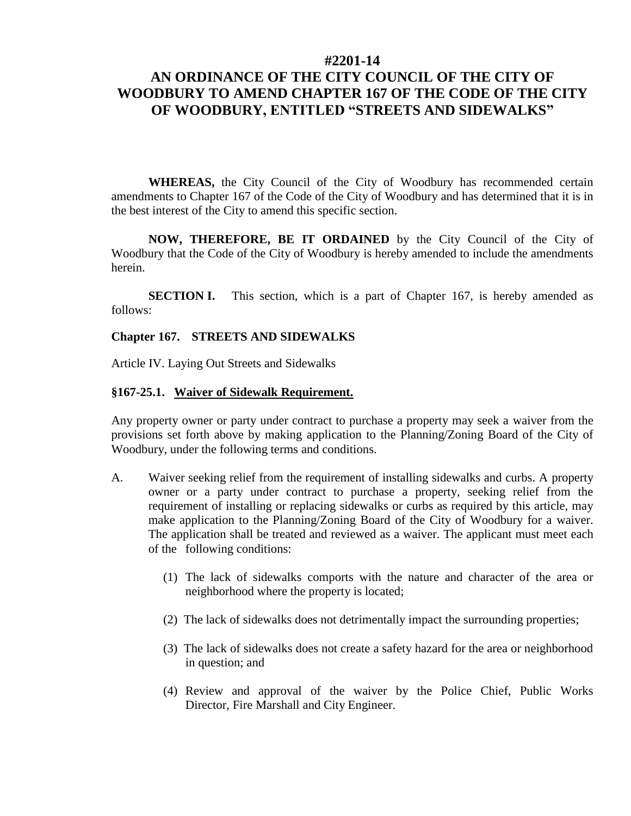### **#2201-14**

# **AN ORDINANCE OF THE CITY COUNCIL OF THE CITY OF WOODBURY TO AMEND CHAPTER 167 OF THE CODE OF THE CITY OF WOODBURY, ENTITLED "STREETS AND SIDEWALKS"**

**WHEREAS,** the City Council of the City of Woodbury has recommended certain amendments to Chapter 167 of the Code of the City of Woodbury and has determined that it is in the best interest of the City to amend this specific section.

**NOW, THEREFORE, BE IT ORDAINED** by the City Council of the City of Woodbury that the Code of the City of Woodbury is hereby amended to include the amendments herein.

**SECTION I.** This section, which is a part of Chapter 167, is hereby amended as follows:

## **Chapter 167. STREETS AND SIDEWALKS**

Article IV. Laying Out Streets and Sidewalks

#### **§167-25.1. Waiver of Sidewalk Requirement.**

Any property owner or party under contract to purchase a property may seek a waiver from the provisions set forth above by making application to the Planning/Zoning Board of the City of Woodbury, under the following terms and conditions.

- [A.](http://www.ecode360.com/26938992#26938992) Waiver seeking relief from the requirement of installing sidewalks and curbs. A property owner or a party under contract to purchase a property, seeking relief from the requirement of installing or replacing sidewalks or curbs as required by this article, may make application to the Planning/Zoning Board of the City of Woodbury for a waiver. The application shall be treated and reviewed as a waiver. The applicant must meet each of the following conditions:
	- [\(1\)](http://www.ecode360.com/26938993#26938993) The lack of sidewalks comports with the nature and character of the area or neighborhood where the property is located;
	- [\(2\)](http://www.ecode360.com/26938994#26938994) The lack of sidewalks does not detrimentally impact the surrounding properties;
	- [\(3\)](http://www.ecode360.com/26938995#26938995) The lack of sidewalks does not create a safety hazard for the area or neighborhood in question; and
	- (4) Review and approval of the waiver by the Police Chief, Public Works Director, Fire Marshall and City Engineer.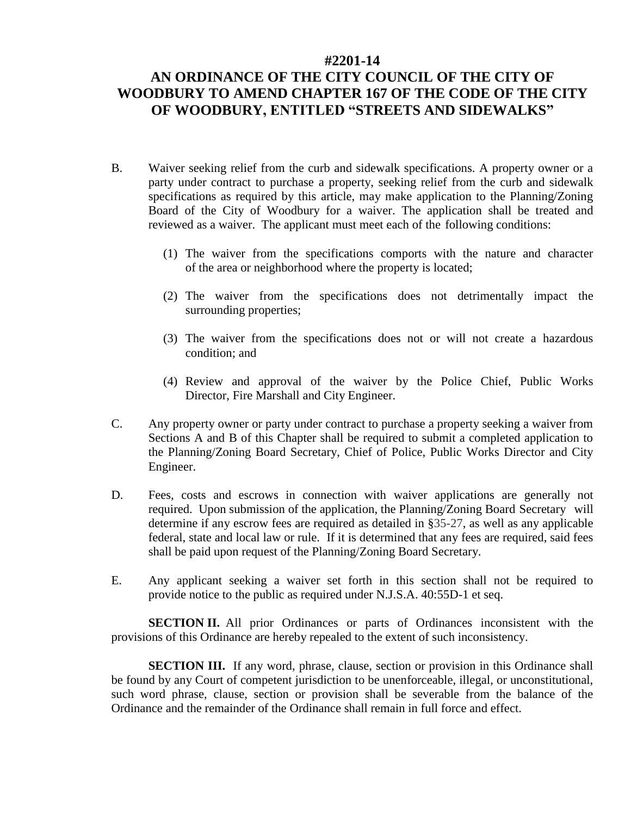### **#2201-14**

# **AN ORDINANCE OF THE CITY COUNCIL OF THE CITY OF WOODBURY TO AMEND CHAPTER 167 OF THE CODE OF THE CITY OF WOODBURY, ENTITLED "STREETS AND SIDEWALKS"**

- [B.](http://www.ecode360.com/26938996#26938996) Waiver seeking relief from the curb and sidewalk specifications. A property owner or a party under contract to purchase a property, seeking relief from the curb and sidewalk specifications as required by this article, may make application to the Planning/Zoning Board of the City of Woodbury for a waiver. The application shall be treated and reviewed as a waiver. The applicant must meet each of the following conditions:
	- (1) The waiver from the specifications comports with the nature and character of the area or neighborhood where the property is located;
	- (2) The waiver from the specifications does not detrimentally impact the surrounding properties;
	- (3) The waiver from the specifications does not or will not create a hazardous condition; and
	- (4) Review and approval of the waiver by the Police Chief, Public Works Director, Fire Marshall and City Engineer.
- C. Any property owner or party under contract to purchase a property seeking a waiver from Sections A and B of this Chapter shall be required to submit a completed application to the Planning/Zoning Board Secretary, Chief of Police, Public Works Director and City Engineer.
- D. Fees, costs and escrows in connection with waiver applications are generally not required. Upon submission of the application, the Planning/Zoning Board Secretary will determine if any escrow fees are required as detailed in [§35-27,](http://www.ecode360.com/11412626#11412626) as well as any applicable federal, state and local law or rule. If it is determined that any fees are required, said fees shall be paid upon request of the Planning/Zoning Board Secretary.
- E. Any applicant seeking a waiver set forth in this section shall not be required to provide notice to the public as required under N.J.S.A. 40:55D-1 et seq.

**SECTION II.** All prior Ordinances or parts of Ordinances inconsistent with the provisions of this Ordinance are hereby repealed to the extent of such inconsistency.

**SECTION III.** If any word, phrase, clause, section or provision in this Ordinance shall be found by any Court of competent jurisdiction to be unenforceable, illegal, or unconstitutional, such word phrase, clause, section or provision shall be severable from the balance of the Ordinance and the remainder of the Ordinance shall remain in full force and effect.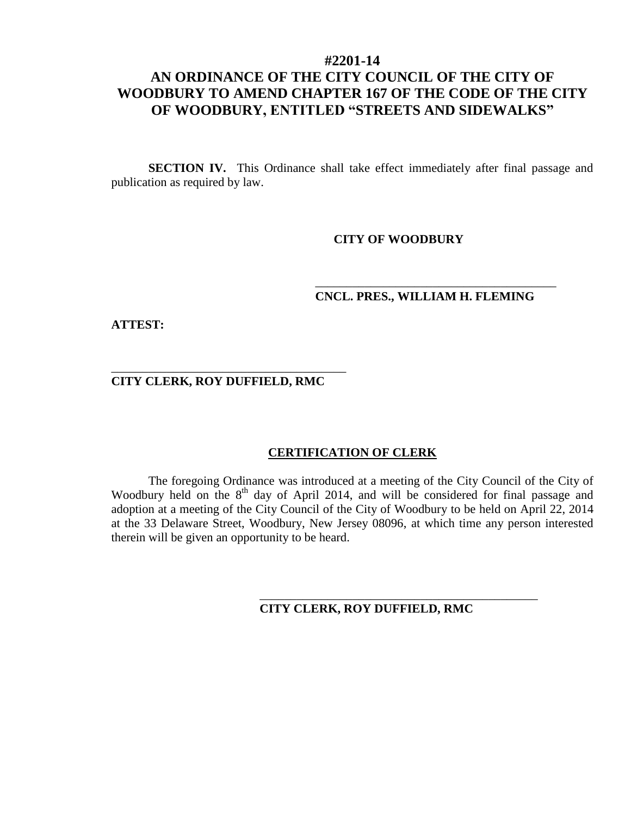# **#2201-14 AN ORDINANCE OF THE CITY COUNCIL OF THE CITY OF WOODBURY TO AMEND CHAPTER 167 OF THE CODE OF THE CITY OF WOODBURY, ENTITLED "STREETS AND SIDEWALKS"**

**SECTION IV.** This Ordinance shall take effect immediately after final passage and publication as required by law.

## **CITY OF WOODBURY**

## \_\_\_\_\_\_\_\_\_\_\_\_\_\_\_\_\_\_\_\_\_\_\_\_\_\_\_\_\_\_\_\_\_\_\_\_\_\_\_ **CNCL. PRES., WILLIAM H. FLEMING**

**ATTEST:**

**CITY CLERK, ROY DUFFIELD, RMC**

\_\_\_\_\_\_\_\_\_\_\_\_\_\_\_\_\_\_\_\_\_\_\_\_\_\_\_\_\_\_\_\_\_\_\_\_\_\_

## **CERTIFICATION OF CLERK**

The foregoing Ordinance was introduced at a meeting of the City Council of the City of Woodbury held on the 8<sup>th</sup> day of April 2014, and will be considered for final passage and adoption at a meeting of the City Council of the City of Woodbury to be held on April 22, 2014 at the 33 Delaware Street, Woodbury, New Jersey 08096, at which time any person interested therein will be given an opportunity to be heard.

**CITY CLERK, ROY DUFFIELD, RMC**

\_\_\_\_\_\_\_\_\_\_\_\_\_\_\_\_\_\_\_\_\_\_\_\_\_\_\_\_\_\_\_\_\_\_\_\_\_\_\_\_\_\_\_\_\_